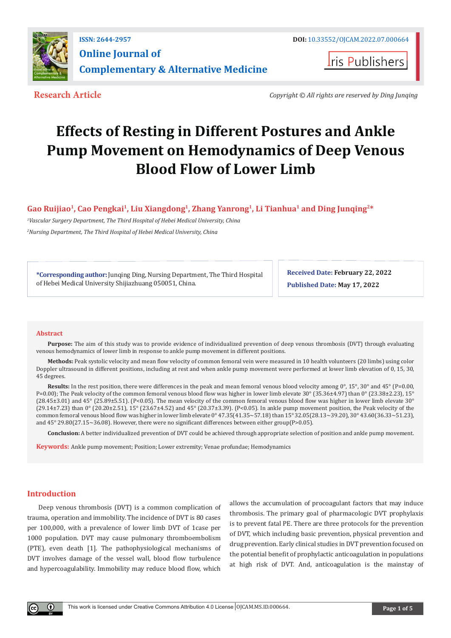

**Iris Publishers** 

**Research Article** *Copyright © All rights are reserved by Ding Junqing*

# **Effects of Resting in Different Postures and Ankle Pump Movement on Hemodynamics of Deep Venous Blood Flow of Lower Limb**

# Gao Ruijiao<sup>1</sup>, Cao Pengkai<sup>1</sup>, Liu Xiangdong<sup>1</sup>, Zhang Yanrong<sup>1</sup>, Li Tianhua<sup>1</sup> and Ding Junqing<sup>2\*</sup>

*1 Vascular Surgery Department, The Third Hospital of Hebei Medical University, China*

*2 Nursing Department, The Third Hospital of Hebei Medical University, China*

**\*Corresponding author:** Junqing Ding, Nursing Department, The Third Hospital of Hebei Medical University Shijiazhuang 050051, China.

**Received Date: February 22, 2022 Published Date: May 17, 2022**

## **Abstract**

**Purpose:** The aim of this study was to provide evidence of individualized prevention of deep venous thrombosis (DVT) through evaluating venous hemodynamics of lower limb in response to ankle pump movement in different positions.

**Methods:** Peak systolic velocity and mean flow velocity of common femoral vein were measured in 10 health volunteers (20 limbs) using color Doppler ultrasound in different positions, including at rest and when ankle pump movement were performed at lower limb elevation of 0, 15, 30, 45 degrees.

**Results:** In the rest position, there were differences in the peak and mean femoral venous blood velocity among 0°, 15°, 30° and 45° (P=0.00, P=0.00); The Peak velocity of the common femoral venous blood flow was higher in lower limb elevate 30° (35.36±4.97) than 0° (23.38±2.23), 15° (28.45±3.01) and 45° (25.89±5.51). (P<0.05). The mean velocity of the common femoral venous blood flow was higher in lower limb elevate 30° (29.14±7.23) than 0° (20.20±2.51), 15° (23.67±4.52) and 45° (20.37±3.39). (P<0.05). In ankle pump movement position, the Peak velocity of the common femoral venous blood flow was higher in lower limb elevate 0° 47.35(41.35~57.18) than 15° 32.05(28.13~39.20), 30° 43.60(36.33~51.23), and 45° 29.80(27.15~36.08). However, there were no significant differences between either group(P>0.05).

**Conclusion:** A better individualized prevention of DVT could be achieved through appropriate selection of position and ankle pump movement.

**Keywords:** Ankle pump movement; Position; Lower extremity; Venae profundae; Hemodynamics

# **Introduction**

Deep venous thrombosis (DVT) is a common complication of trauma, operation and immobility. The incidence of DVT is 80 cases per 100,000, with a prevalence of lower limb DVT of 1case per 1000 population. DVT may cause pulmonary thromboembolism (PTE), even death [1]. The pathophysiological mechanisms of DVT involves damage of the vessel wall, blood flow turbulence and hypercoagulability. Immobility may reduce blood flow, which

allows the accumulation of procoagulant factors that may induce thrombosis. The primary goal of pharmacologic DVT prophylaxis is to prevent fatal PE. There are three protocols for the prevention of DVT, which including basic prevention, physical prevention and drug prevention. Early clinical studies in DVT prevention focused on the potential benefit of prophylactic anticoagulation in populations at high risk of DVT. And, anticoagulation is the mainstay of

 $\bf{0}$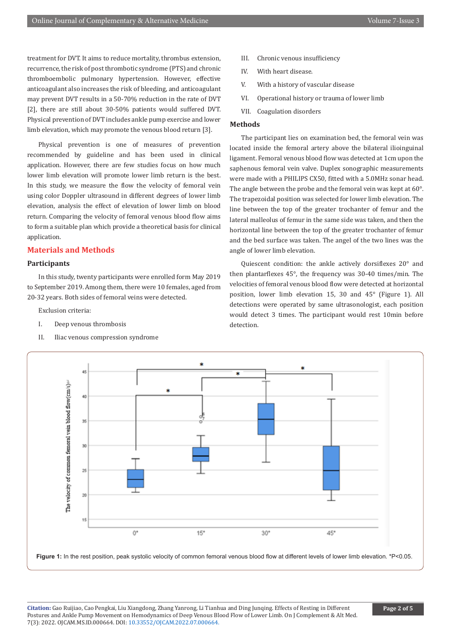treatment for DVT. It aims to reduce mortality, thrombus extension, recurrence, the risk of post thrombotic syndrome (PTS) and chronic thromboembolic pulmonary hypertension. However, effective anticoagulant also increases the risk of bleeding, and anticoagulant may prevent DVT results in a 50-70% reduction in the rate of DVT [2], there are still about 30-50% patients would suffered DVT. Physical prevention of DVT includes ankle pump exercise and lower limb elevation, which may promote the venous blood return [3].

Physical prevention is one of measures of prevention recommended by guideline and has been used in clinical application. However, there are few studies focus on how much lower limb elevation will promote lower limb return is the best. In this study, we measure the flow the velocity of femoral vein using color Doppler ultrasound in different degrees of lower limb elevation, analysis the effect of elevation of lower limb on blood return. Comparing the velocity of femoral venous blood flow aims to form a suitable plan which provide a theoretical basis for clinical application.

#### **Materials and Methods**

#### **Participants**

In this study, twenty participants were enrolled form May 2019 to September 2019. Among them, there were 10 females, aged from 20-32 years. Both sides of femoral veins were detected.

Exclusion criteria:

- I. Deep venous thrombosis
- II. Iliac venous compression syndrome
- III. Chronic venous insufficiency
- IV. With heart disease.
- V. With a history of vascular disease
- VI. Operational history or trauma of lower limb
- VII. Coagulation disorders

## **Methods**

The participant lies on examination bed, the femoral vein was located inside the femoral artery above the bilateral ilioinguinal ligament. Femoral venous blood flow was detected at 1cm upon the saphenous femoral vein valve. Duplex sonographic measurements were made with a PHILIPS CX50, fitted with a 5.0MHz sonar head. The angle between the probe and the femoral vein was kept at 60°. The trapezoidal position was selected for lower limb elevation. The line between the top of the greater trochanter of femur and the lateral malleolus of femur in the same side was taken, and then the horizontal line between the top of the greater trochanter of femur and the bed surface was taken. The angel of the two lines was the angle of lower limb elevation.

Quiescent condition: the ankle actively dorsiflexes 20° and then plantarflexes 45°, the frequency was 30-40 times/min. The velocities of femoral venous blood flow were detected at horizontal position, lower limb elevation 15, 30 and 45° (Figure 1). All detections were operated by same ultrasonologist, each position would detect 3 times. The participant would rest 10min before detection.



Figure 1: In the rest position, peak systolic velocity of common femoral venous blood flow at different levels of lower limb elevation. \*P<0.05.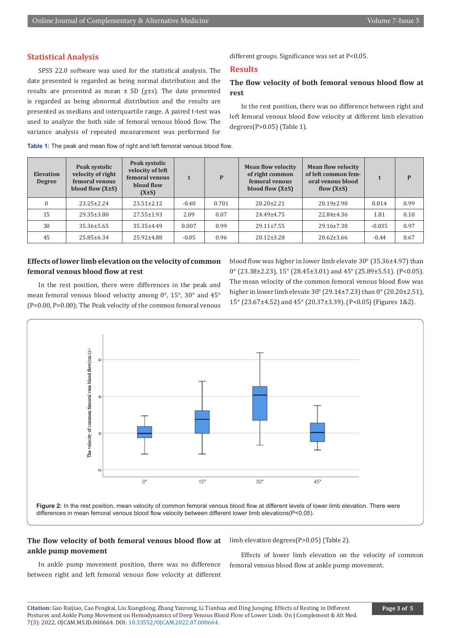## **Statistical Analysis**

SPSS 22.0 software was used for the statistical analysis. The date presented is regarded as being normal distribution and the results are presented as mean  $\pm$  SD ( $\chi \pm s$ ). The date presented is regarded as being abnormal distribution and the results are presented as medians and interquartile range. A paired t-test was used to analyze the both side of femoral venous blood flow. The variance analysis of repeated measurement was performed for different groups. Significance was set at P<0.05.

## **Results**

# **The flow velocity of both femoral venous blood flow at rest**

In the rest position, there was no difference between right and left femoral venous blood flow velocity at different limb elevation degrees(P>0.05) (Table 1).

| <b>Elevation</b><br><b>Degree</b> | Peak systolic<br>velocity of right<br>femoral venous<br>blood flow $(X\pm S)$ | Peak systolic<br>velocity of left<br>femoral venous<br>blood flow<br>$(X \pm S)$ | t       | P     | <b>Mean flow velocity</b><br>of right common<br>femoral venous<br>blood flow $(X\pm S)$ | <b>Mean flow velocity</b><br>of left common fem-<br>oral venous blood<br>flow $(X\pm S)$ |          | P    |
|-----------------------------------|-------------------------------------------------------------------------------|----------------------------------------------------------------------------------|---------|-------|-----------------------------------------------------------------------------------------|------------------------------------------------------------------------------------------|----------|------|
| $\Omega$                          | $23.25 \pm 2.24$                                                              | $23.51 \pm 2.12$                                                                 | $-0.40$ | 0.701 | $20.20 \pm 2.21$                                                                        | $20.19 \pm 2.90$                                                                         | 0.014    | 0.99 |
| 15                                | $29.35 \pm 3.80$                                                              | $27.55 \pm 1.93$                                                                 | 2.09    | 0.07  | 24.49±4.75                                                                              | 22.84±4.36                                                                               | 1.81     | 0.10 |
| 30                                | $35.36 \pm 5.65$                                                              | $35.35 \pm 4.49$                                                                 | 0.007   | 0.99  | $29.11 \pm 7.55$                                                                        | $29.16 \pm 7.30$                                                                         | $-0.035$ | 0.97 |
| 45                                | $25.85 \pm 6.34$                                                              | $25.92 \pm 4.88$                                                                 | $-0.05$ | 0.96  | $20.12 \pm 3.28$                                                                        | $20.62 \pm 3.66$                                                                         | $-0.44$  | 0.67 |

#### **Table 1:** The peak and mean flow of right and left femoral venous blood flow.

## **Effects of lower limb elevation on the velocity of common femoral venous blood flow at rest**

blood flow was higher in lower limb elevate 30° (35.36±4.97) than 0° (23.38±2.23), 15° (28.45±3.01) and 45° (25.89±5.51). (P<0.05). The mean velocity of the common femoral venous blood flow was higher in lower limb elevate 30° (29.14±7.23) than 0° (20.20±2.51), 15° (23.67±4.52) and 45° (20.37±3.39). (P<0.05) (Figures 1&2).

In the rest position, there were differences in the peak and mean femoral venous blood velocity among 0°, 15°, 30° and 45° (P=0.00, P=0.00); The Peak velocity of the common femoral venous



## **The flow velocity of both femoral venous blood flow at ankle pump movement**

In ankle pump movement position, there was no difference between right and left femoral venous flow velocity at different limb elevation degrees(P>0.05) (Table 2).

Effects of lower limb elevation on the velocity of common femoral venous blood flow at ankle pump movement.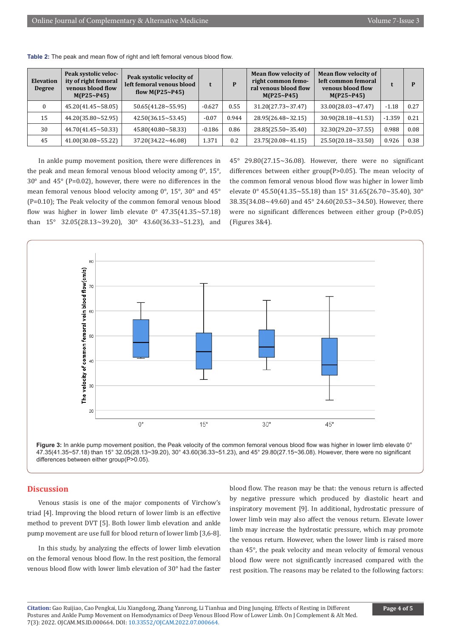| <b>Elevation</b><br><b>Degree</b> | Peak systolic veloc-<br>ity of right femoral<br>venous blood flow<br>M(P25~P45) | Peak systolic velocity of<br>left femoral venous blood<br>flow $M(P25~P45)$ | t        | D     | <b>Mean flow velocity of</b><br>right common femo-<br>ral venous blood flow<br>M(P25~P45) | <b>Mean flow velocity of</b><br>left common femoral<br>venous blood flow<br>M(P25~P45) |          |      |
|-----------------------------------|---------------------------------------------------------------------------------|-----------------------------------------------------------------------------|----------|-------|-------------------------------------------------------------------------------------------|----------------------------------------------------------------------------------------|----------|------|
| $\Omega$                          | $45.20(41.45 \times 58.05)$                                                     | $50.65(41.28 \times 55.95)$                                                 | $-0.627$ | 0.55  | $31.20(27.73 \times 37.47)$                                                               | $33.00(28.03 \times 47.47)$                                                            | $-1.18$  | 0.27 |
| 15                                | $44.20(35.80 \times 52.95)$                                                     | $42.50(36.15 \times 53.45)$                                                 | $-0.07$  | 0.944 | $28.95(26.48 \times 32.15)$                                                               | $30.90(28.18 \times 41.53)$                                                            | $-1.359$ | 0.21 |
| 30                                | $44.70(41.45 \times 50.33)$                                                     | $45.80(40.80 \times 58.33)$                                                 | $-0.186$ | 0.86  | 28.85(25.50~35.40)                                                                        | $32.30(29.20 \times 37.55)$                                                            | 0.988    | 0.08 |
| 45                                | $41.00(30.08 \times 55.22)$                                                     | $37.20(34.22 \times 46.08)$                                                 | 1.371    | 0.2   | 23.75(20.08~41.15)                                                                        | $25.50(20.18 \times 33.50)$                                                            | 0.926    | 0.38 |

**Table 2:** The peak and mean flow of right and left femoral venous blood flow.

In ankle pump movement position, there were differences in the peak and mean femoral venous blood velocity among 0°, 15°, 30° and 45° (P=0.02), however, there were no differences in the mean femoral venous blood velocity among 0°, 15°, 30° and 45° (P=0.10); The Peak velocity of the common femoral venous blood flow was higher in lower limb elevate  $0^{\circ}$  47.35(41.35~57.18) than  $15^{\circ}$  32.05(28.13~39.20), 30° 43.60(36.33~51.23), and 45° 29.80(27.15~36.08). However, there were no significant differences between either group(P>0.05). The mean velocity of the common femoral venous blood flow was higher in lower limb elevate 0° 45.50(41.35~55.18) than 15° 31.65(26.70~35.40), 30° 38.35(34.08~49.60) and 45° 24.60(20.53~34.50). However, there were no significant differences between either group (P>0.05) (Figures 3&4).





#### **Discussion**

Venous stasis is one of the major components of Virchow's triad [4]. Improving the blood return of lower limb is an effective method to prevent DVT [5]. Both lower limb elevation and ankle pump movement are use full for blood return of lower limb [3,6-8].

In this study, by analyzing the effects of lower limb elevation on the femoral venous blood flow. In the rest position, the femoral venous blood flow with lower limb elevation of 30° had the faster blood flow. The reason may be that: the venous return is affected by negative pressure which produced by diastolic heart and inspiratory movement [9]. In additional, hydrostatic pressure of lower limb vein may also affect the venous return. Elevate lower limb may increase the hydrostatic pressure, which may promote the venous return. However, when the lower limb is raised more than 45°, the peak velocity and mean velocity of femoral venous blood flow were not significantly increased compared with the rest position. The reasons may be related to the following factors: